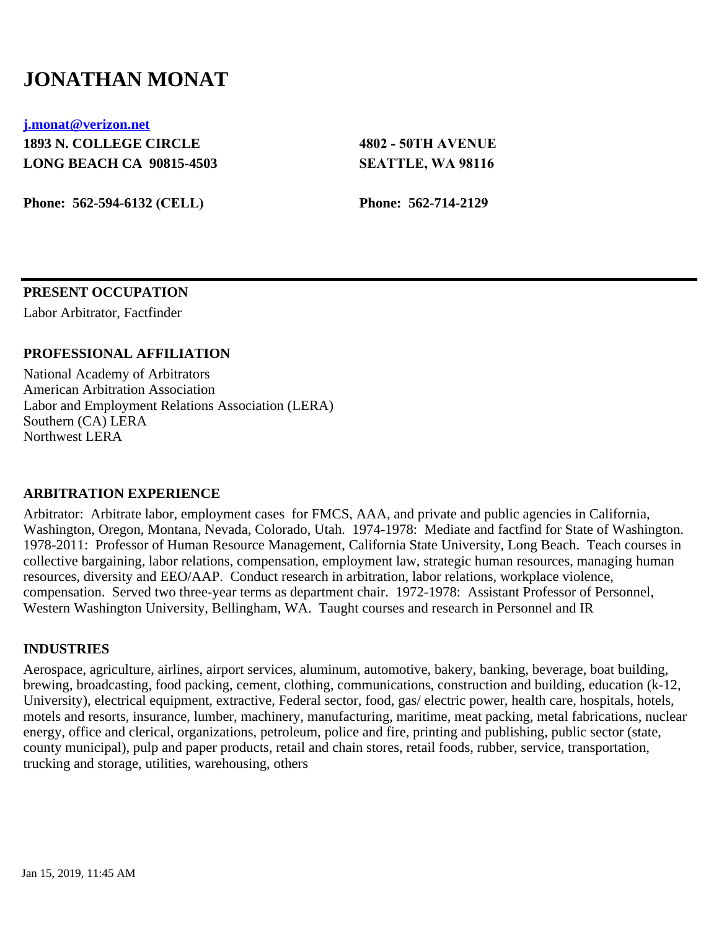# **JONATHAN MONAT**

**[j.monat@verizon.net](mailto:j.monat@verizon.net)**

**1893 N. COLLEGE CIRCLE LONG BEACH CA 90815-4503**

**Phone: 562-594-6132 (CELL)**

**4802 - 50TH AVENUE SEATTLE, WA 98116**

**Phone: 562-714-2129**

## **PRESENT OCCUPATION**

Labor Arbitrator, Factfinder

## **PROFESSIONAL AFFILIATION**

National Academy of Arbitrators American Arbitration Association Labor and Employment Relations Association (LERA) Southern (CA) LERA Northwest LERA

## **ARBITRATION EXPERIENCE**

Arbitrator: Arbitrate labor, employment cases for FMCS, AAA, and private and public agencies in California, Washington, Oregon, Montana, Nevada, Colorado, Utah. 1974-1978: Mediate and factfind for State of Washington. 1978-2011: Professor of Human Resource Management, California State University, Long Beach. Teach courses in collective bargaining, labor relations, compensation, employment law, strategic human resources, managing human resources, diversity and EEO/AAP. Conduct research in arbitration, labor relations, workplace violence, compensation. Served two three-year terms as department chair. 1972-1978: Assistant Professor of Personnel, Western Washington University, Bellingham, WA. Taught courses and research in Personnel and IR

## **INDUSTRIES**

Aerospace, agriculture, airlines, airport services, aluminum, automotive, bakery, banking, beverage, boat building, brewing, broadcasting, food packing, cement, clothing, communications, construction and building, education (k-12, University), electrical equipment, extractive, Federal sector, food, gas/ electric power, health care, hospitals, hotels, motels and resorts, insurance, lumber, machinery, manufacturing, maritime, meat packing, metal fabrications, nuclear energy, office and clerical, organizations, petroleum, police and fire, printing and publishing, public sector (state, county municipal), pulp and paper products, retail and chain stores, retail foods, rubber, service, transportation, trucking and storage, utilities, warehousing, others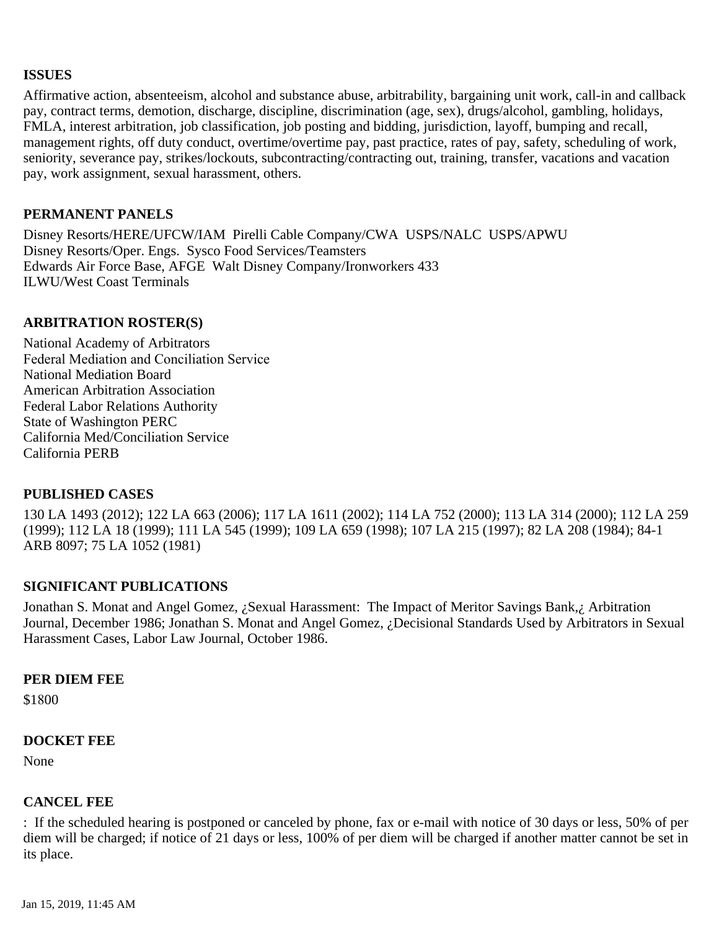## **ISSUES**

Affirmative action, absenteeism, alcohol and substance abuse, arbitrability, bargaining unit work, call-in and callback pay, contract terms, demotion, discharge, discipline, discrimination (age, sex), drugs/alcohol, gambling, holidays, FMLA, interest arbitration, job classification, job posting and bidding, jurisdiction, layoff, bumping and recall, management rights, off duty conduct, overtime/overtime pay, past practice, rates of pay, safety, scheduling of work, seniority, severance pay, strikes/lockouts, subcontracting/contracting out, training, transfer, vacations and vacation pay, work assignment, sexual harassment, others.

## **PERMANENT PANELS**

Disney Resorts/HERE/UFCW/IAM Pirelli Cable Company/CWA USPS/NALC USPS/APWU Disney Resorts/Oper. Engs. Sysco Food Services/Teamsters Edwards Air Force Base, AFGE Walt Disney Company/Ironworkers 433 ILWU/West Coast Terminals

## **ARBITRATION ROSTER(S)**

National Academy of Arbitrators Federal Mediation and Conciliation Service National Mediation Board American Arbitration Association Federal Labor Relations Authority State of Washington PERC California Med/Conciliation Service California PERB

## **PUBLISHED CASES**

130 LA 1493 (2012); 122 LA 663 (2006); 117 LA 1611 (2002); 114 LA 752 (2000); 113 LA 314 (2000); 112 LA 259 (1999); 112 LA 18 (1999); 111 LA 545 (1999); 109 LA 659 (1998); 107 LA 215 (1997); 82 LA 208 (1984); 84-1 ARB 8097; 75 LA 1052 (1981)

# **SIGNIFICANT PUBLICATIONS**

Jonathan S. Monat and Angel Gomez, ¿Sexual Harassment: The Impact of Meritor Savings Bank,¿ Arbitration Journal, December 1986; Jonathan S. Monat and Angel Gomez, ¿Decisional Standards Used by Arbitrators in Sexual Harassment Cases, Labor Law Journal, October 1986.

## **PER DIEM FEE**

\$1800

## **DOCKET FEE**

None

## **CANCEL FEE**

: If the scheduled hearing is postponed or canceled by phone, fax or e-mail with notice of 30 days or less, 50% of per diem will be charged; if notice of 21 days or less, 100% of per diem will be charged if another matter cannot be set in its place.